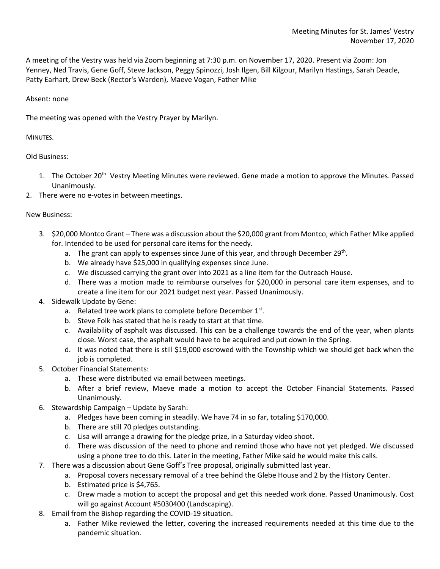A meeting of the Vestry was held via Zoom beginning at 7:30 p.m. on November 17, 2020. Present via Zoom: Jon Yenney, Ned Travis, Gene Goff, Steve Jackson, Peggy Spinozzi, Josh Ilgen, Bill Kilgour, Marilyn Hastings, Sarah Deacle, Patty Earhart, Drew Beck (Rector's Warden), Maeve Vogan, Father Mike

## Absent: none

The meeting was opened with the Vestry Prayer by Marilyn.

## MINUTES.

Old Business:

- 1. The October 20<sup>th</sup> Vestry Meeting Minutes were reviewed. Gene made a motion to approve the Minutes. Passed Unanimously.
- 2. There were no e-votes in between meetings.

## New Business:

- 3. \$20,000 Montco Grant There was a discussion about the \$20,000 grant from Montco, which Father Mike applied for. Intended to be used for personal care items for the needy.
	- a. The grant can apply to expenses since June of this year, and through December  $29^{th}$ .
	- b. We already have \$25,000 in qualifying expenses since June.
	- c. We discussed carrying the grant over into 2021 as a line item for the Outreach House.
	- d. There was a motion made to reimburse ourselves for \$20,000 in personal care item expenses, and to create a line item for our 2021 budget next year. Passed Unanimously.
- 4. Sidewalk Update by Gene:
	- a. Related tree work plans to complete before December  $1^{st}$ .
	- b. Steve Folk has stated that he is ready to start at that time.
	- c. Availability of asphalt was discussed. This can be a challenge towards the end of the year, when plants close. Worst case, the asphalt would have to be acquired and put down in the Spring.
	- d. It was noted that there is still \$19,000 escrowed with the Township which we should get back when the job is completed.
- 5. October Financial Statements:
	- a. These were distributed via email between meetings.
	- b. After a brief review, Maeve made a motion to accept the October Financial Statements. Passed Unanimously.
- 6. Stewardship Campaign Update by Sarah:
	- a. Pledges have been coming in steadily. We have 74 in so far, totaling \$170,000.
	- b. There are still 70 pledges outstanding.
	- c. Lisa will arrange a drawing for the pledge prize, in a Saturday video shoot.
	- d. There was discussion of the need to phone and remind those who have not yet pledged. We discussed using a phone tree to do this. Later in the meeting, Father Mike said he would make this calls.
- 7. There was a discussion about Gene Goff's Tree proposal, originally submitted last year.
	- a. Proposal covers necessary removal of a tree behind the Glebe House and 2 by the History Center.
	- b. Estimated price is \$4,765.
	- c. Drew made a motion to accept the proposal and get this needed work done. Passed Unanimously. Cost will go against Account #5030400 (Landscaping).
- 8. Email from the Bishop regarding the COVID-19 situation.
	- a. Father Mike reviewed the letter, covering the increased requirements needed at this time due to the pandemic situation.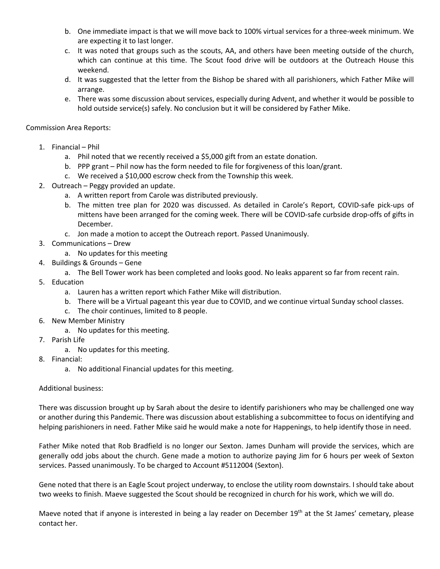- b. One immediate impact is that we will move back to 100% virtual services for a three-week minimum. We are expecting it to last longer.
- c. It was noted that groups such as the scouts, AA, and others have been meeting outside of the church, which can continue at this time. The Scout food drive will be outdoors at the Outreach House this weekend.
- d. It was suggested that the letter from the Bishop be shared with all parishioners, which Father Mike will arrange.
- e. There was some discussion about services, especially during Advent, and whether it would be possible to hold outside service(s) safely. No conclusion but it will be considered by Father Mike.

Commission Area Reports:

- 1. Financial Phil
	- a. Phil noted that we recently received a \$5,000 gift from an estate donation.
	- b. PPP grant Phil now has the form needed to file for forgiveness of this loan/grant.
	- c. We received a \$10,000 escrow check from the Township this week.
- 2. Outreach Peggy provided an update.
	- a. A written report from Carole was distributed previously.
	- b. The mitten tree plan for 2020 was discussed. As detailed in Carole's Report, COVID-safe pick-ups of mittens have been arranged for the coming week. There will be COVID-safe curbside drop-offs of gifts in December.
	- c. Jon made a motion to accept the Outreach report. Passed Unanimously.
- 3. Communications Drew
	- a. No updates for this meeting
- 4. Buildings & Grounds Gene
	- a. The Bell Tower work has been completed and looks good. No leaks apparent so far from recent rain.
- 5. Education
	- a. Lauren has a written report which Father Mike will distribution.
	- b. There will be a Virtual pageant this year due to COVID, and we continue virtual Sunday school classes.
	- c. The choir continues, limited to 8 people.
- 6. New Member Ministry
	- a. No updates for this meeting.
- 7. Parish Life
	- a. No updates for this meeting.
- 8. Financial:
	- a. No additional Financial updates for this meeting.

## Additional business:

There was discussion brought up by Sarah about the desire to identify parishioners who may be challenged one way or another during this Pandemic. There was discussion about establishing a subcommittee to focus on identifying and helping parishioners in need. Father Mike said he would make a note for Happenings, to help identify those in need.

Father Mike noted that Rob Bradfield is no longer our Sexton. James Dunham will provide the services, which are generally odd jobs about the church. Gene made a motion to authorize paying Jim for 6 hours per week of Sexton services. Passed unanimously. To be charged to Account #5112004 (Sexton).

Gene noted that there is an Eagle Scout project underway, to enclose the utility room downstairs. I should take about two weeks to finish. Maeve suggested the Scout should be recognized in church for his work, which we will do.

Maeve noted that if anyone is interested in being a lay reader on December 19<sup>th</sup> at the St James' cemetary, please contact her.